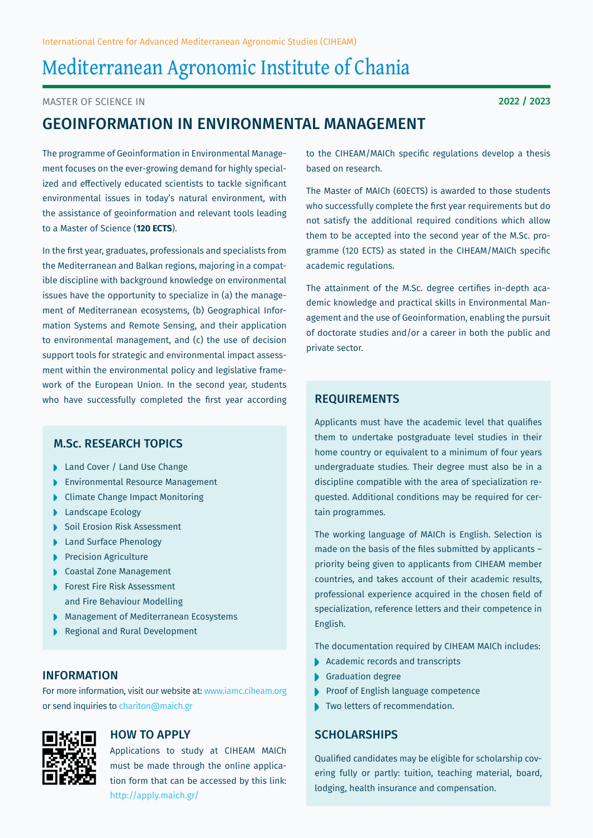# Mediterranean Agronomic Institute of Chania

Master of Science in

# Geoinformation in Environmental Management

The programme of Geoinformation in Environmental Management focuses on the ever-growing demand for highly specialized and effectively educated scientists to tackle significant environmental issues in today's natural environment, with the assistance of geoinformation and relevant tools leading to a Master of Science (**120 ECTS**).

In the first year, graduates, professionals and specialists from the Mediterranean and Balkan regions, majoring in a compatible discipline with background knowledge on environmental issues have the opportunity to specialize in (a) the management of Mediterranean ecosystems, (b) Geographical Information Systems and Remote Sensing, and their application to environmental management, and (c) the use of decision support tools for strategic and environmental impact assessment within the environmental policy and legislative framework of the European Union. In the second year, students who have successfully completed the first year according  $REQUIREMENTS$ 

# M.Sc. Research Topics

- ▶ Land Cover / Land Use Change
- **Environmental Resource Management**
- Climate Change Impact Monitoring
- **Landscape Ecology**
- Soil Erosion Risk Assessment
- **Land Surface Phenology**
- Precision Agriculture
- Coastal Zone Management
- ▶ Forest Fire Risk Assessment and Fire Behaviour Modelling
- Management of Mediterranean Ecosystems
- Regional and Rural Development

# **INFORMATION**

For more information, visit our website at: www.iamc.ciheam.org or send inquiries to chariton@maich.gr



# How to Apply

Applications to study at CIHEAM MAICh must be made through the online application form that can be accessed by this link: http://apply.maich.gr/

to the CIHEAM/MAICh specific regulations develop a thesis based on research.

The Master of MAICh (60ECTS) is awarded to those students who successfully complete the first year requirements but do not satisfy the additional required conditions which allow them to be accepted into the second year of the M.Sc. programme (120 ECTS) as stated in the CIHEAM/MAICh specific academic regulations.

The attainment of the M.Sc. degree certifies in-depth academic knowledge and practical skills in Environmental Management and the use of Geoinformation, enabling the pursuit of doctorate studies and/or a career in both the public and private sector.

Applicants must have the academic level that qualifies them to undertake postgraduate level studies in their home country or equivalent to a minimum of four years undergraduate studies. Their degree must also be in a discipline compatible with the area of specialization requested. Additional conditions may be required for certain programmes.

The working language of MAICh is English. Selection is made on the basis of the files submitted by applicants – priority being given to applicants from CIHEAM member countries, and takes account of their academic results, professional experience acquired in the chosen field of specialization, reference letters and their competence in English.

The documentation required by CIHEAM MAICh includes:

- Academic records and transcripts
- Graduation degree
- Proof of English language competence
- Two letters of recommendation.

# **SCHOLARSHIPS**

Qualified candidates may be eligible for scholarship covering fully or partly: tuition, teaching material, board, lodging, health insurance and compensation.

2022 / 2023